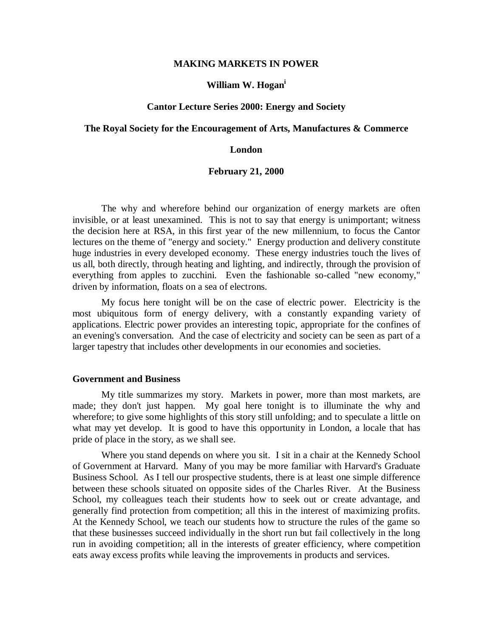#### **MAKING MARKETS IN POWER**

#### **William W. Hogani**

#### **Cantor Lecture Series 2000: Energy and Society**

#### **The Royal Society for the Encouragement of Arts, Manufactures & Commerce**

#### **London**

#### **February 21, 2000**

The why and wherefore behind our organization of energy markets are often invisible, or at least unexamined. This is not to say that energy is unimportant; witness the decision here at RSA, in this first year of the new millennium, to focus the Cantor lectures on the theme of "energy and society." Energy production and delivery constitute huge industries in every developed economy. These energy industries touch the lives of us all, both directly, through heating and lighting, and indirectly, through the provision of everything from apples to zucchini. Even the fashionable so-called "new economy," driven by information, floats on a sea of electrons.

My focus here tonight will be on the case of electric power. Electricity is the most ubiquitous form of energy delivery, with a constantly expanding variety of applications. Electric power provides an interesting topic, appropriate for the confines of an evening's conversation. And the case of electricity and society can be seen as part of a larger tapestry that includes other developments in our economies and societies.

#### **Government and Business**

My title summarizes my story. Markets in power, more than most markets, are made; they don't just happen. My goal here tonight is to illuminate the why and wherefore; to give some highlights of this story still unfolding; and to speculate a little on what may yet develop. It is good to have this opportunity in London, a locale that has pride of place in the story, as we shall see.

Where you stand depends on where you sit. I sit in a chair at the Kennedy School of Government at Harvard. Many of you may be more familiar with Harvard's Graduate Business School. As I tell our prospective students, there is at least one simple difference between these schools situated on opposite sides of the Charles River. At the Business School, my colleagues teach their students how to seek out or create advantage, and generally find protection from competition; all this in the interest of maximizing profits. At the Kennedy School, we teach our students how to structure the rules of the game so that these businesses succeed individually in the short run but fail collectively in the long run in avoiding competition; all in the interests of greater efficiency, where competition eats away excess profits while leaving the improvements in products and services.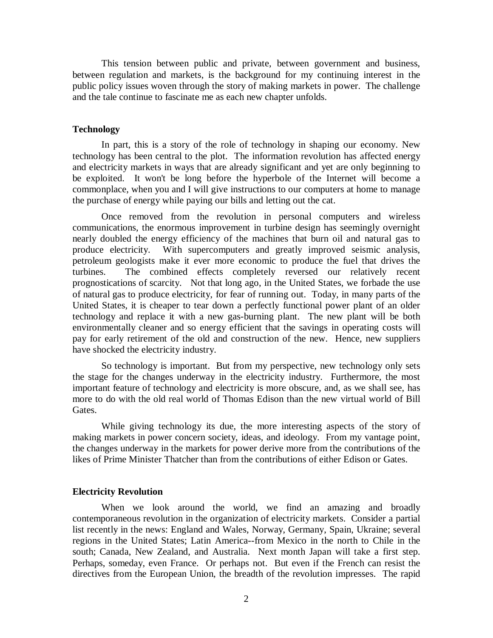This tension between public and private, between government and business, between regulation and markets, is the background for my continuing interest in the public policy issues woven through the story of making markets in power. The challenge and the tale continue to fascinate me as each new chapter unfolds.

#### **Technology**

In part, this is a story of the role of technology in shaping our economy. New technology has been central to the plot. The information revolution has affected energy and electricity markets in ways that are already significant and yet are only beginning to be exploited. It won't be long before the hyperbole of the Internet will become a commonplace, when you and I will give instructions to our computers at home to manage the purchase of energy while paying our bills and letting out the cat.

Once removed from the revolution in personal computers and wireless communications, the enormous improvement in turbine design has seemingly overnight nearly doubled the energy efficiency of the machines that burn oil and natural gas to produce electricity. With supercomputers and greatly improved seismic analysis, petroleum geologists make it ever more economic to produce the fuel that drives the turbines. The combined effects completely reversed our relatively recent prognostications of scarcity. Not that long ago, in the United States, we forbade the use of natural gas to produce electricity, for fear of running out. Today, in many parts of the United States, it is cheaper to tear down a perfectly functional power plant of an older technology and replace it with a new gas-burning plant. The new plant will be both environmentally cleaner and so energy efficient that the savings in operating costs will pay for early retirement of the old and construction of the new. Hence, new suppliers have shocked the electricity industry.

So technology is important. But from my perspective, new technology only sets the stage for the changes underway in the electricity industry. Furthermore, the most important feature of technology and electricity is more obscure, and, as we shall see, has more to do with the old real world of Thomas Edison than the new virtual world of Bill Gates.

While giving technology its due, the more interesting aspects of the story of making markets in power concern society, ideas, and ideology. From my vantage point, the changes underway in the markets for power derive more from the contributions of the likes of Prime Minister Thatcher than from the contributions of either Edison or Gates.

#### **Electricity Revolution**

When we look around the world, we find an amazing and broadly contemporaneous revolution in the organization of electricity markets. Consider a partial list recently in the news: England and Wales, Norway, Germany, Spain, Ukraine; several regions in the United States; Latin America--from Mexico in the north to Chile in the south; Canada, New Zealand, and Australia. Next month Japan will take a first step. Perhaps, someday, even France. Or perhaps not. But even if the French can resist the directives from the European Union, the breadth of the revolution impresses. The rapid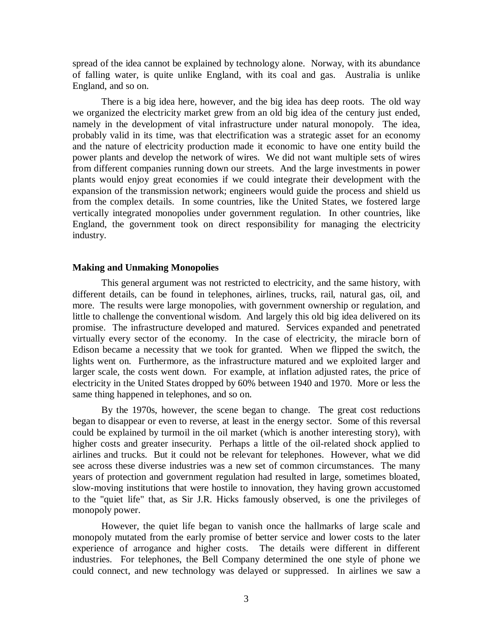spread of the idea cannot be explained by technology alone. Norway, with its abundance of falling water, is quite unlike England, with its coal and gas. Australia is unlike England, and so on.

There is a big idea here, however, and the big idea has deep roots. The old way we organized the electricity market grew from an old big idea of the century just ended, namely in the development of vital infrastructure under natural monopoly. The idea, probably valid in its time, was that electrification was a strategic asset for an economy and the nature of electricity production made it economic to have one entity build the power plants and develop the network of wires. We did not want multiple sets of wires from different companies running down our streets. And the large investments in power plants would enjoy great economies if we could integrate their development with the expansion of the transmission network; engineers would guide the process and shield us from the complex details. In some countries, like the United States, we fostered large vertically integrated monopolies under government regulation. In other countries, like England, the government took on direct responsibility for managing the electricity industry.

#### **Making and Unmaking Monopolies**

This general argument was not restricted to electricity, and the same history, with different details, can be found in telephones, airlines, trucks, rail, natural gas, oil, and more. The results were large monopolies, with government ownership or regulation, and little to challenge the conventional wisdom. And largely this old big idea delivered on its promise. The infrastructure developed and matured. Services expanded and penetrated virtually every sector of the economy. In the case of electricity, the miracle born of Edison became a necessity that we took for granted. When we flipped the switch, the lights went on. Furthermore, as the infrastructure matured and we exploited larger and larger scale, the costs went down. For example, at inflation adjusted rates, the price of electricity in the United States dropped by 60% between 1940 and 1970. More or less the same thing happened in telephones, and so on.

By the 1970s, however, the scene began to change. The great cost reductions began to disappear or even to reverse, at least in the energy sector. Some of this reversal could be explained by turmoil in the oil market (which is another interesting story), with higher costs and greater insecurity. Perhaps a little of the oil-related shock applied to airlines and trucks. But it could not be relevant for telephones. However, what we did see across these diverse industries was a new set of common circumstances. The many years of protection and government regulation had resulted in large, sometimes bloated, slow-moving institutions that were hostile to innovation, they having grown accustomed to the "quiet life" that, as Sir J.R. Hicks famously observed, is one the privileges of monopoly power.

However, the quiet life began to vanish once the hallmarks of large scale and monopoly mutated from the early promise of better service and lower costs to the later experience of arrogance and higher costs. The details were different in different industries. For telephones, the Bell Company determined the one style of phone we could connect, and new technology was delayed or suppressed. In airlines we saw a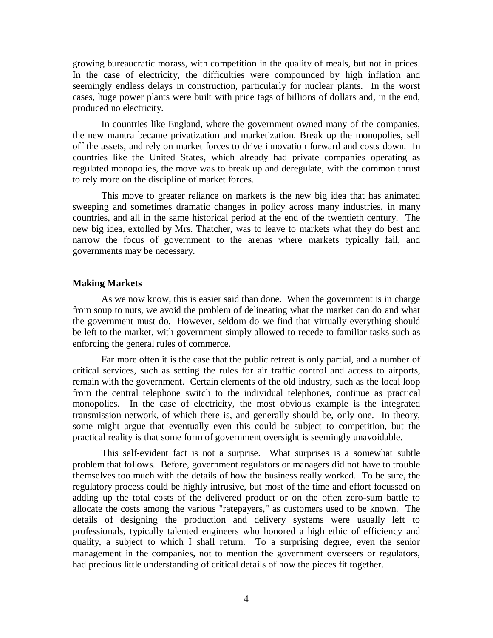growing bureaucratic morass, with competition in the quality of meals, but not in prices. In the case of electricity, the difficulties were compounded by high inflation and seemingly endless delays in construction, particularly for nuclear plants. In the worst cases, huge power plants were built with price tags of billions of dollars and, in the end, produced no electricity.

In countries like England, where the government owned many of the companies, the new mantra became privatization and marketization. Break up the monopolies, sell off the assets, and rely on market forces to drive innovation forward and costs down. In countries like the United States, which already had private companies operating as regulated monopolies, the move was to break up and deregulate, with the common thrust to rely more on the discipline of market forces.

This move to greater reliance on markets is the new big idea that has animated sweeping and sometimes dramatic changes in policy across many industries, in many countries, and all in the same historical period at the end of the twentieth century. The new big idea, extolled by Mrs. Thatcher, was to leave to markets what they do best and narrow the focus of government to the arenas where markets typically fail, and governments may be necessary.

#### **Making Markets**

As we now know, this is easier said than done. When the government is in charge from soup to nuts, we avoid the problem of delineating what the market can do and what the government must do. However, seldom do we find that virtually everything should be left to the market, with government simply allowed to recede to familiar tasks such as enforcing the general rules of commerce.

Far more often it is the case that the public retreat is only partial, and a number of critical services, such as setting the rules for air traffic control and access to airports, remain with the government. Certain elements of the old industry, such as the local loop from the central telephone switch to the individual telephones, continue as practical monopolies. In the case of electricity, the most obvious example is the integrated transmission network, of which there is, and generally should be, only one. In theory, some might argue that eventually even this could be subject to competition, but the practical reality is that some form of government oversight is seemingly unavoidable.

This self-evident fact is not a surprise. What surprises is a somewhat subtle problem that follows. Before, government regulators or managers did not have to trouble themselves too much with the details of how the business really worked. To be sure, the regulatory process could be highly intrusive, but most of the time and effort focussed on adding up the total costs of the delivered product or on the often zero-sum battle to allocate the costs among the various "ratepayers," as customers used to be known. The details of designing the production and delivery systems were usually left to professionals, typically talented engineers who honored a high ethic of efficiency and quality, a subject to which I shall return. To a surprising degree, even the senior management in the companies, not to mention the government overseers or regulators, had precious little understanding of critical details of how the pieces fit together.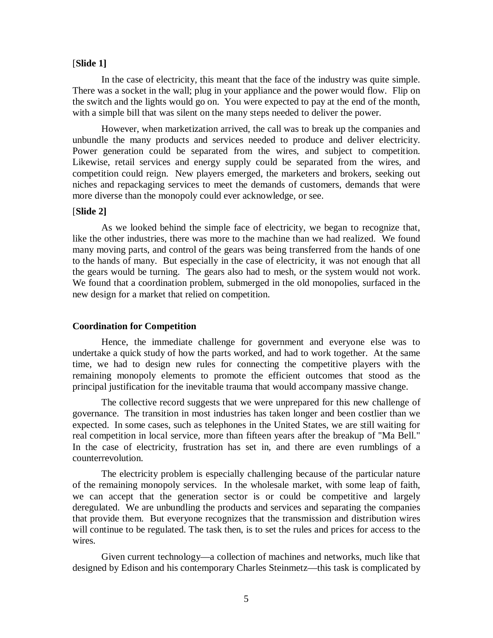#### [**Slide 1]**

In the case of electricity, this meant that the face of the industry was quite simple. There was a socket in the wall; plug in your appliance and the power would flow. Flip on the switch and the lights would go on. You were expected to pay at the end of the month, with a simple bill that was silent on the many steps needed to deliver the power.

However, when marketization arrived, the call was to break up the companies and unbundle the many products and services needed to produce and deliver electricity. Power generation could be separated from the wires, and subject to competition. Likewise, retail services and energy supply could be separated from the wires, and competition could reign. New players emerged, the marketers and brokers, seeking out niches and repackaging services to meet the demands of customers, demands that were more diverse than the monopoly could ever acknowledge, or see.

#### [**Slide 2]**

As we looked behind the simple face of electricity, we began to recognize that, like the other industries, there was more to the machine than we had realized. We found many moving parts, and control of the gears was being transferred from the hands of one to the hands of many. But especially in the case of electricity, it was not enough that all the gears would be turning. The gears also had to mesh, or the system would not work. We found that a coordination problem, submerged in the old monopolies, surfaced in the new design for a market that relied on competition.

#### **Coordination for Competition**

Hence, the immediate challenge for government and everyone else was to undertake a quick study of how the parts worked, and had to work together. At the same time, we had to design new rules for connecting the competitive players with the remaining monopoly elements to promote the efficient outcomes that stood as the principal justification for the inevitable trauma that would accompany massive change.

The collective record suggests that we were unprepared for this new challenge of governance. The transition in most industries has taken longer and been costlier than we expected. In some cases, such as telephones in the United States, we are still waiting for real competition in local service, more than fifteen years after the breakup of "Ma Bell." In the case of electricity, frustration has set in, and there are even rumblings of a counterrevolution.

The electricity problem is especially challenging because of the particular nature of the remaining monopoly services. In the wholesale market, with some leap of faith, we can accept that the generation sector is or could be competitive and largely deregulated. We are unbundling the products and services and separating the companies that provide them. But everyone recognizes that the transmission and distribution wires will continue to be regulated. The task then, is to set the rules and prices for access to the wires.

Given current technology—a collection of machines and networks, much like that designed by Edison and his contemporary Charles Steinmetz—this task is complicated by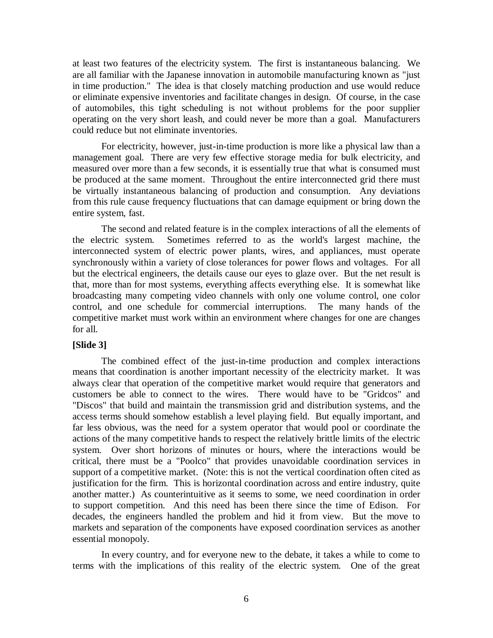at least two features of the electricity system. The first is instantaneous balancing. We are all familiar with the Japanese innovation in automobile manufacturing known as "just in time production." The idea is that closely matching production and use would reduce or eliminate expensive inventories and facilitate changes in design. Of course, in the case of automobiles, this tight scheduling is not without problems for the poor supplier operating on the very short leash, and could never be more than a goal. Manufacturers could reduce but not eliminate inventories.

For electricity, however, just-in-time production is more like a physical law than a management goal. There are very few effective storage media for bulk electricity, and measured over more than a few seconds, it is essentially true that what is consumed must be produced at the same moment. Throughout the entire interconnected grid there must be virtually instantaneous balancing of production and consumption. Any deviations from this rule cause frequency fluctuations that can damage equipment or bring down the entire system, fast.

The second and related feature is in the complex interactions of all the elements of the electric system. Sometimes referred to as the world's largest machine, the interconnected system of electric power plants, wires, and appliances, must operate synchronously within a variety of close tolerances for power flows and voltages. For all but the electrical engineers, the details cause our eyes to glaze over. But the net result is that, more than for most systems, everything affects everything else. It is somewhat like broadcasting many competing video channels with only one volume control, one color control, and one schedule for commercial interruptions. The many hands of the competitive market must work within an environment where changes for one are changes for all.

#### **[Slide 3]**

The combined effect of the just-in-time production and complex interactions means that coordination is another important necessity of the electricity market. It was always clear that operation of the competitive market would require that generators and customers be able to connect to the wires. There would have to be "Gridcos" and "Discos" that build and maintain the transmission grid and distribution systems, and the access terms should somehow establish a level playing field. But equally important, and far less obvious, was the need for a system operator that would pool or coordinate the actions of the many competitive hands to respect the relatively brittle limits of the electric system. Over short horizons of minutes or hours, where the interactions would be critical, there must be a "Poolco" that provides unavoidable coordination services in support of a competitive market. (Note: this is not the vertical coordination often cited as justification for the firm. This is horizontal coordination across and entire industry, quite another matter.) As counterintuitive as it seems to some, we need coordination in order to support competition. And this need has been there since the time of Edison. For decades, the engineers handled the problem and hid it from view. But the move to markets and separation of the components have exposed coordination services as another essential monopoly.

In every country, and for everyone new to the debate, it takes a while to come to terms with the implications of this reality of the electric system. One of the great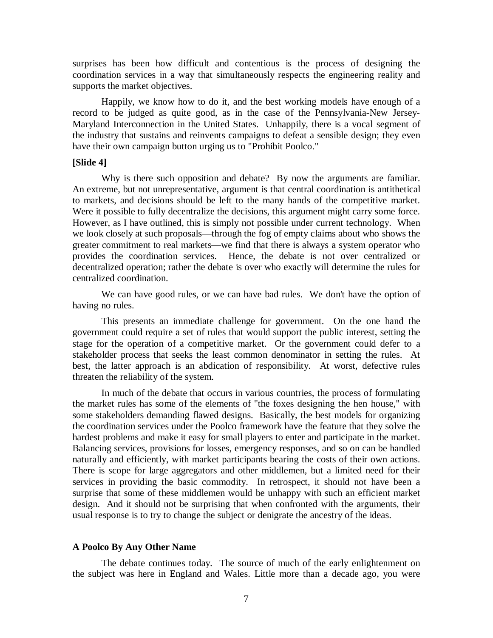surprises has been how difficult and contentious is the process of designing the coordination services in a way that simultaneously respects the engineering reality and supports the market objectives.

Happily, we know how to do it, and the best working models have enough of a record to be judged as quite good, as in the case of the Pennsylvania-New Jersey-Maryland Interconnection in the United States. Unhappily, there is a vocal segment of the industry that sustains and reinvents campaigns to defeat a sensible design; they even have their own campaign button urging us to "Prohibit Poolco."

#### **[Slide 4]**

Why is there such opposition and debate? By now the arguments are familiar. An extreme, but not unrepresentative, argument is that central coordination is antithetical to markets, and decisions should be left to the many hands of the competitive market. Were it possible to fully decentralize the decisions, this argument might carry some force. However, as I have outlined, this is simply not possible under current technology. When we look closely at such proposals—through the fog of empty claims about who shows the greater commitment to real markets—we find that there is always a system operator who provides the coordination services. Hence, the debate is not over centralized or decentralized operation; rather the debate is over who exactly will determine the rules for centralized coordination.

We can have good rules, or we can have bad rules. We don't have the option of having no rules.

This presents an immediate challenge for government. On the one hand the government could require a set of rules that would support the public interest, setting the stage for the operation of a competitive market. Or the government could defer to a stakeholder process that seeks the least common denominator in setting the rules. At best, the latter approach is an abdication of responsibility. At worst, defective rules threaten the reliability of the system.

In much of the debate that occurs in various countries, the process of formulating the market rules has some of the elements of "the foxes designing the hen house," with some stakeholders demanding flawed designs. Basically, the best models for organizing the coordination services under the Poolco framework have the feature that they solve the hardest problems and make it easy for small players to enter and participate in the market. Balancing services, provisions for losses, emergency responses, and so on can be handled naturally and efficiently, with market participants bearing the costs of their own actions. There is scope for large aggregators and other middlemen, but a limited need for their services in providing the basic commodity. In retrospect, it should not have been a surprise that some of these middlemen would be unhappy with such an efficient market design. And it should not be surprising that when confronted with the arguments, their usual response is to try to change the subject or denigrate the ancestry of the ideas.

#### **A Poolco By Any Other Name**

The debate continues today. The source of much of the early enlightenment on the subject was here in England and Wales. Little more than a decade ago, you were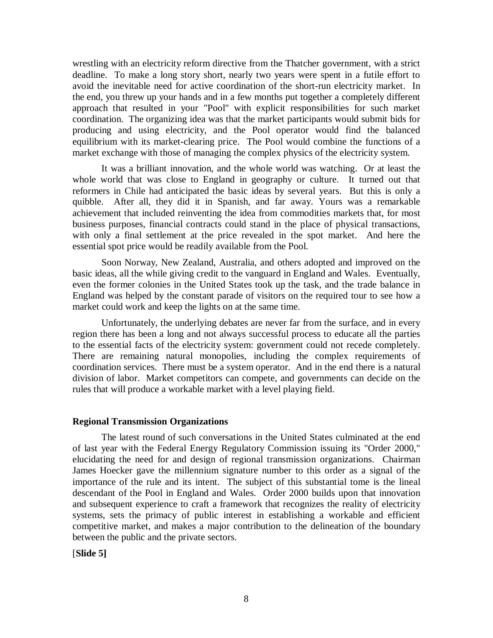wrestling with an electricity reform directive from the Thatcher government, with a strict deadline. To make a long story short, nearly two years were spent in a futile effort to avoid the inevitable need for active coordination of the short-run electricity market. In the end, you threw up your hands and in a few months put together a completely different approach that resulted in your "Pool" with explicit responsibilities for such market coordination. The organizing idea was that the market participants would submit bids for producing and using electricity, and the Pool operator would find the balanced equilibrium with its market-clearing price. The Pool would combine the functions of a market exchange with those of managing the complex physics of the electricity system.

It was a brilliant innovation, and the whole world was watching. Or at least the whole world that was close to England in geography or culture. It turned out that reformers in Chile had anticipated the basic ideas by several years. But this is only a quibble. After all, they did it in Spanish, and far away. Yours was a remarkable achievement that included reinventing the idea from commodities markets that, for most business purposes, financial contracts could stand in the place of physical transactions, with only a final settlement at the price revealed in the spot market. And here the essential spot price would be readily available from the Pool.

Soon Norway, New Zealand, Australia, and others adopted and improved on the basic ideas, all the while giving credit to the vanguard in England and Wales. Eventually, even the former colonies in the United States took up the task, and the trade balance in England was helped by the constant parade of visitors on the required tour to see how a market could work and keep the lights on at the same time.

Unfortunately, the underlying debates are never far from the surface, and in every region there has been a long and not always successful process to educate all the parties to the essential facts of the electricity system: government could not recede completely. There are remaining natural monopolies, including the complex requirements of coordination services. There must be a system operator. And in the end there is a natural division of labor. Market competitors can compete, and governments can decide on the rules that will produce a workable market with a level playing field.

#### **Regional Transmission Organizations**

The latest round of such conversations in the United States culminated at the end of last year with the Federal Energy Regulatory Commission issuing its "Order 2000," elucidating the need for and design of regional transmission organizations. Chairman James Hoecker gave the millennium signature number to this order as a signal of the importance of the rule and its intent. The subject of this substantial tome is the lineal descendant of the Pool in England and Wales. Order 2000 builds upon that innovation and subsequent experience to craft a framework that recognizes the reality of electricity systems, sets the primacy of public interest in establishing a workable and efficient competitive market, and makes a major contribution to the delineation of the boundary between the public and the private sectors.

[**Slide 5]**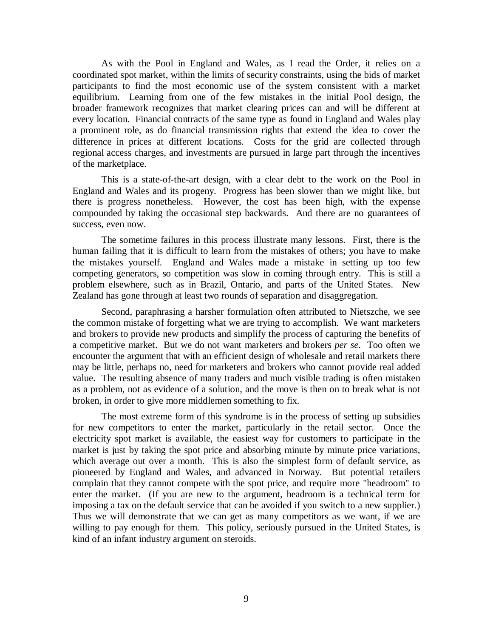As with the Pool in England and Wales, as I read the Order, it relies on a coordinated spot market, within the limits of security constraints, using the bids of market participants to find the most economic use of the system consistent with a market equilibrium. Learning from one of the few mistakes in the initial Pool design, the broader framework recognizes that market clearing prices can and will be different at every location. Financial contracts of the same type as found in England and Wales play a prominent role, as do financial transmission rights that extend the idea to cover the difference in prices at different locations. Costs for the grid are collected through regional access charges, and investments are pursued in large part through the incentives of the marketplace.

This is a state-of-the-art design, with a clear debt to the work on the Pool in England and Wales and its progeny. Progress has been slower than we might like, but there is progress nonetheless. However, the cost has been high, with the expense compounded by taking the occasional step backwards. And there are no guarantees of success, even now.

The sometime failures in this process illustrate many lessons. First, there is the human failing that it is difficult to learn from the mistakes of others; you have to make the mistakes yourself. England and Wales made a mistake in setting up too few competing generators, so competition was slow in coming through entry. This is still a problem elsewhere, such as in Brazil, Ontario, and parts of the United States. New Zealand has gone through at least two rounds of separation and disaggregation.

Second, paraphrasing a harsher formulation often attributed to Nietszche, we see the common mistake of forgetting what we are trying to accomplish. We want marketers and brokers to provide new products and simplify the process of capturing the benefits of a competitive market. But we do not want marketers and brokers *per se*. Too often we encounter the argument that with an efficient design of wholesale and retail markets there may be little, perhaps no, need for marketers and brokers who cannot provide real added value. The resulting absence of many traders and much visible trading is often mistaken as a problem, not as evidence of a solution, and the move is then on to break what is not broken, in order to give more middlemen something to fix.

The most extreme form of this syndrome is in the process of setting up subsidies for new competitors to enter the market, particularly in the retail sector. Once the electricity spot market is available, the easiest way for customers to participate in the market is just by taking the spot price and absorbing minute by minute price variations, which average out over a month. This is also the simplest form of default service, as pioneered by England and Wales, and advanced in Norway. But potential retailers complain that they cannot compete with the spot price, and require more "headroom" to enter the market. (If you are new to the argument, headroom is a technical term for imposing a tax on the default service that can be avoided if you switch to a new supplier.) Thus we will demonstrate that we can get as many competitors as we want, if we are willing to pay enough for them. This policy, seriously pursued in the United States, is kind of an infant industry argument on steroids.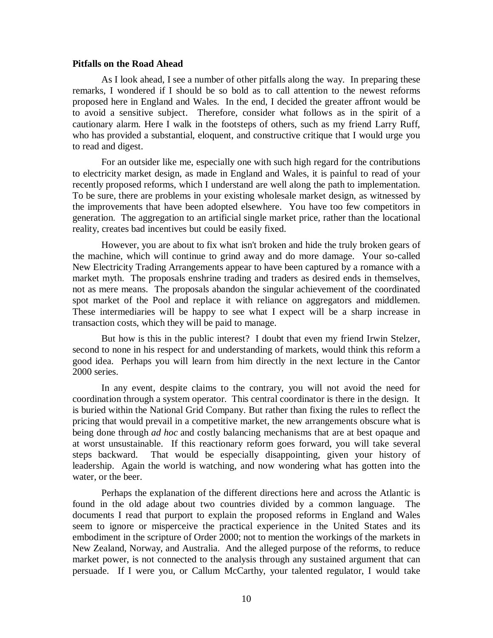#### **Pitfalls on the Road Ahead**

As I look ahead, I see a number of other pitfalls along the way. In preparing these remarks, I wondered if I should be so bold as to call attention to the newest reforms proposed here in England and Wales. In the end, I decided the greater affront would be to avoid a sensitive subject. Therefore, consider what follows as in the spirit of a cautionary alarm. Here I walk in the footsteps of others, such as my friend Larry Ruff, who has provided a substantial, eloquent, and constructive critique that I would urge you to read and digest.

For an outsider like me, especially one with such high regard for the contributions to electricity market design, as made in England and Wales, it is painful to read of your recently proposed reforms, which I understand are well along the path to implementation. To be sure, there are problems in your existing wholesale market design, as witnessed by the improvements that have been adopted elsewhere. You have too few competitors in generation. The aggregation to an artificial single market price, rather than the locational reality, creates bad incentives but could be easily fixed.

However, you are about to fix what isn't broken and hide the truly broken gears of the machine, which will continue to grind away and do more damage. Your so-called New Electricity Trading Arrangements appear to have been captured by a romance with a market myth. The proposals enshrine trading and traders as desired ends in themselves, not as mere means. The proposals abandon the singular achievement of the coordinated spot market of the Pool and replace it with reliance on aggregators and middlemen. These intermediaries will be happy to see what I expect will be a sharp increase in transaction costs, which they will be paid to manage.

But how is this in the public interest? I doubt that even my friend Irwin Stelzer, second to none in his respect for and understanding of markets, would think this reform a good idea. Perhaps you will learn from him directly in the next lecture in the Cantor 2000 series.

In any event, despite claims to the contrary, you will not avoid the need for coordination through a system operator. This central coordinator is there in the design. It is buried within the National Grid Company. But rather than fixing the rules to reflect the pricing that would prevail in a competitive market, the new arrangements obscure what is being done through *ad hoc* and costly balancing mechanisms that are at best opaque and at worst unsustainable. If this reactionary reform goes forward, you will take several steps backward. That would be especially disappointing, given your history of leadership. Again the world is watching, and now wondering what has gotten into the water, or the beer.

Perhaps the explanation of the different directions here and across the Atlantic is found in the old adage about two countries divided by a common language. The documents I read that purport to explain the proposed reforms in England and Wales seem to ignore or misperceive the practical experience in the United States and its embodiment in the scripture of Order 2000; not to mention the workings of the markets in New Zealand, Norway, and Australia. And the alleged purpose of the reforms, to reduce market power, is not connected to the analysis through any sustained argument that can persuade. If I were you, or Callum McCarthy, your talented regulator, I would take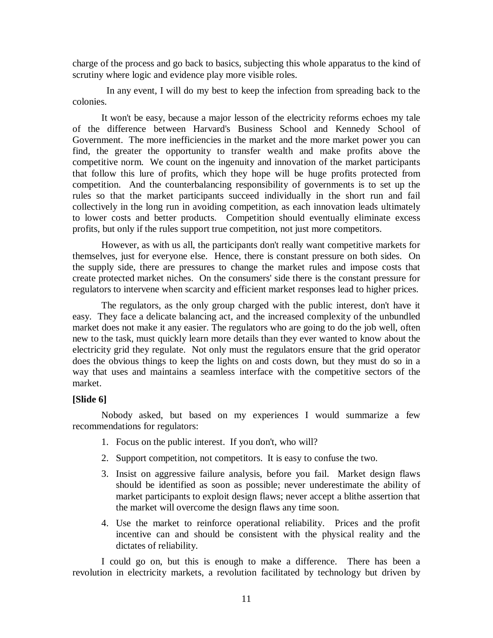charge of the process and go back to basics, subjecting this whole apparatus to the kind of scrutiny where logic and evidence play more visible roles.

 In any event, I will do my best to keep the infection from spreading back to the colonies.

It won't be easy, because a major lesson of the electricity reforms echoes my tale of the difference between Harvard's Business School and Kennedy School of Government. The more inefficiencies in the market and the more market power you can find, the greater the opportunity to transfer wealth and make profits above the competitive norm. We count on the ingenuity and innovation of the market participants that follow this lure of profits, which they hope will be huge profits protected from competition. And the counterbalancing responsibility of governments is to set up the rules so that the market participants succeed individually in the short run and fail collectively in the long run in avoiding competition, as each innovation leads ultimately to lower costs and better products. Competition should eventually eliminate excess profits, but only if the rules support true competition, not just more competitors.

However, as with us all, the participants don't really want competitive markets for themselves, just for everyone else. Hence, there is constant pressure on both sides. On the supply side, there are pressures to change the market rules and impose costs that create protected market niches. On the consumers' side there is the constant pressure for regulators to intervene when scarcity and efficient market responses lead to higher prices.

The regulators, as the only group charged with the public interest, don't have it easy. They face a delicate balancing act, and the increased complexity of the unbundled market does not make it any easier. The regulators who are going to do the job well, often new to the task, must quickly learn more details than they ever wanted to know about the electricity grid they regulate. Not only must the regulators ensure that the grid operator does the obvious things to keep the lights on and costs down, but they must do so in a way that uses and maintains a seamless interface with the competitive sectors of the market.

#### **[Slide 6]**

Nobody asked, but based on my experiences I would summarize a few recommendations for regulators:

- 1. Focus on the public interest. If you don't, who will?
- 2. Support competition, not competitors. It is easy to confuse the two.
- 3. Insist on aggressive failure analysis, before you fail. Market design flaws should be identified as soon as possible; never underestimate the ability of market participants to exploit design flaws; never accept a blithe assertion that the market will overcome the design flaws any time soon.
- 4. Use the market to reinforce operational reliability. Prices and the profit incentive can and should be consistent with the physical reality and the dictates of reliability.

I could go on, but this is enough to make a difference. There has been a revolution in electricity markets, a revolution facilitated by technology but driven by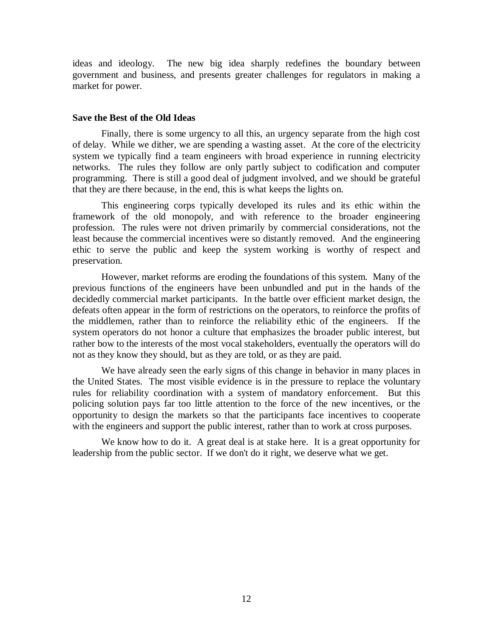ideas and ideology. The new big idea sharply redefines the boundary between government and business, and presents greater challenges for regulators in making a market for power.

#### **Save the Best of the Old Ideas**

Finally, there is some urgency to all this, an urgency separate from the high cost of delay. While we dither, we are spending a wasting asset. At the core of the electricity system we typically find a team engineers with broad experience in running electricity networks. The rules they follow are only partly subject to codification and computer programming. There is still a good deal of judgment involved, and we should be grateful that they are there because, in the end, this is what keeps the lights on.

This engineering corps typically developed its rules and its ethic within the framework of the old monopoly, and with reference to the broader engineering profession. The rules were not driven primarily by commercial considerations, not the least because the commercial incentives were so distantly removed. And the engineering ethic to serve the public and keep the system working is worthy of respect and preservation.

However, market reforms are eroding the foundations of this system. Many of the previous functions of the engineers have been unbundled and put in the hands of the decidedly commercial market participants. In the battle over efficient market design, the defeats often appear in the form of restrictions on the operators, to reinforce the profits of the middlemen, rather than to reinforce the reliability ethic of the engineers. If the system operators do not honor a culture that emphasizes the broader public interest, but rather bow to the interests of the most vocal stakeholders, eventually the operators will do not as they know they should, but as they are told, or as they are paid.

We have already seen the early signs of this change in behavior in many places in the United States. The most visible evidence is in the pressure to replace the voluntary rules for reliability coordination with a system of mandatory enforcement. But this policing solution pays far too little attention to the force of the new incentives, or the opportunity to design the markets so that the participants face incentives to cooperate with the engineers and support the public interest, rather than to work at cross purposes.

We know how to do it. A great deal is at stake here. It is a great opportunity for leadership from the public sector. If we don't do it right, we deserve what we get.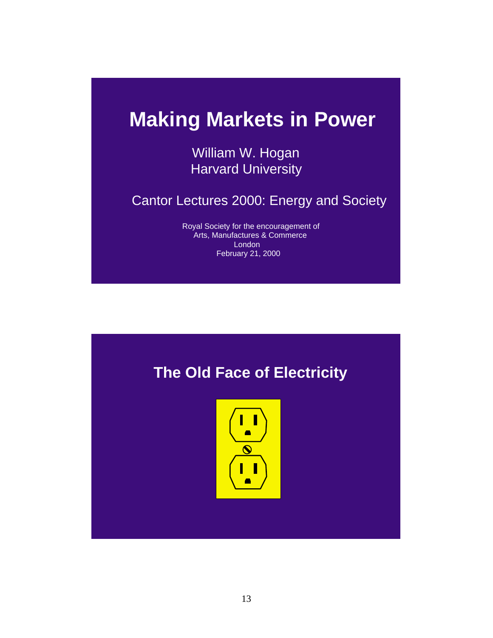# **Making Markets in Power**

William W. Hogan Harvard University

Cantor Lectures 2000: Energy and Society

Royal Society for the encouragement of Arts, Manufactures & Commerce London February 21, 2000

## **The Old Face of Electricity**

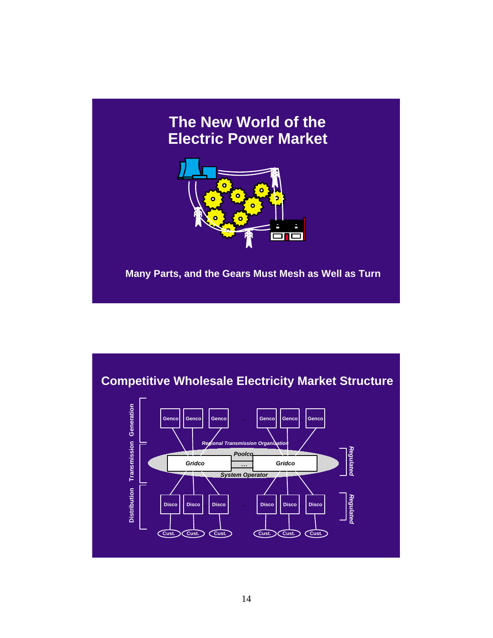

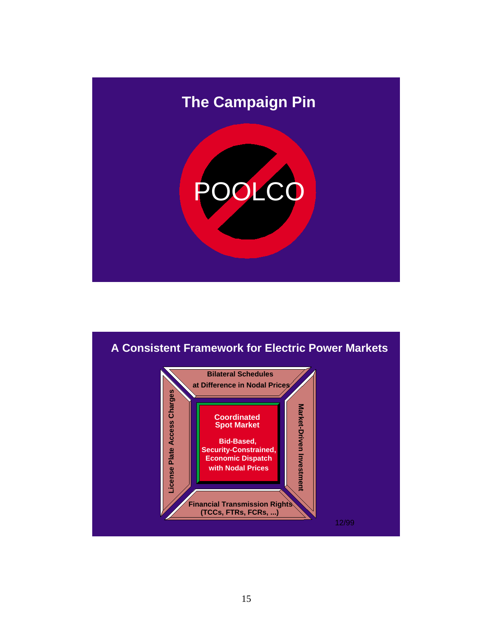